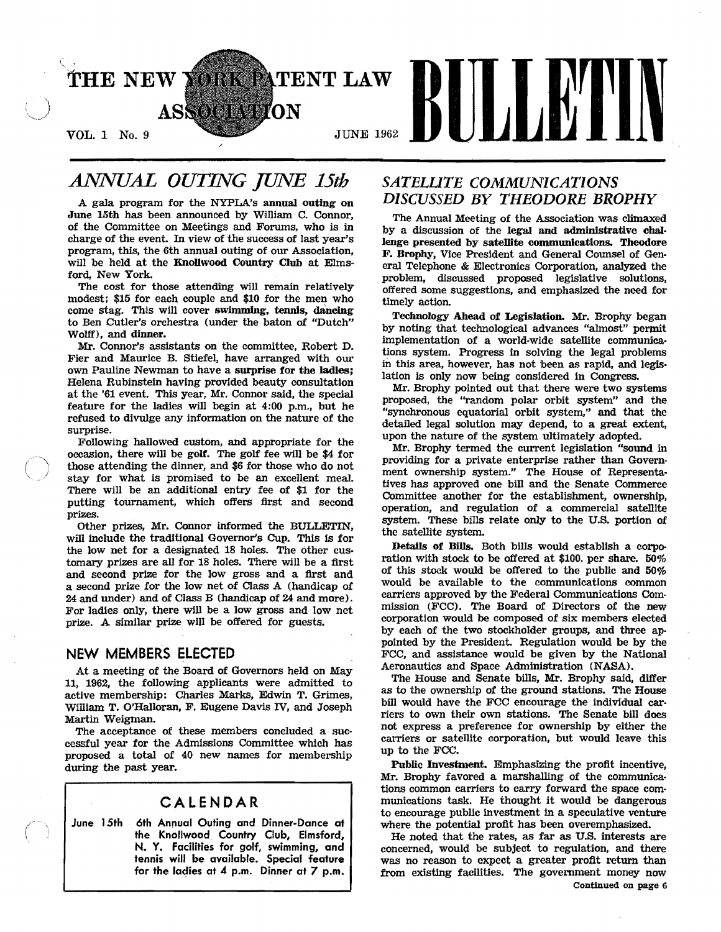

# *ANNUAL OUrING JUNE 15th*

A gala program for the NYPLA's annual outing on June 15th has been announced by William C. Connor, of the Committee on Meetings and Forums, who is in charge of the event. In view of the success of last year's program, this, the 6th annual outing of our Association will be held at the Knollwood Country Club at Elmsford, New York.

The cost for those attending will remain relatively modest; \$15 for each couple and \$10 for the men who come stag. This will cover swimming, tennis, dancing to Ben Cutler's orchestra (under the baton of "Dutch" Wolff), and dinner.

Mr. Connor's assistants on the committee, Robert D. Fier and Maurice B. Stiefel, have arranged with our own Pauline Newman to have a surprise for the ladles; Helena Rubinstein having provided beauty consultation at the '61 event. This year, Mr. Connor said, the special feature for the ladies will begin at 4:00 p.m., but he refused to divulge any information on the nature of the surprise.

Following hallowed custom, and appropriate for the occasion, there will be golf. The golf fee will be \$4 for those attending the dinner, and \$6 for those who do not stay for what is promised to be an excellent meal. There will be an additional entry fee of \$1 for the putting tournament, which offers first and second prizes.

Other prizes, Mr. Connor informed the BULLETIN, will include the traditional Governor's Cup. This is for the low net for a designated 18 holes. The other customary prizes are all for 18 holes. There will be a first and second prize for the low gross and a first and a second prize for the low net of Class A (handicap of 24 and under) and of Class B (handicap of 24 and more). For ladies only, there will be a low gross and low net prize. A similar prize will be offered for guests.

### **NEW MEMBERS ELECTED**

At a meeting of the Board of Governors held on May 11, 1962, the following applicants were admitted to active membership: Charles Marks, Edwin T. Grimes, William T. O'Halloran, F. Eugene Davis IV, and Joseph Martin Weigman.

The acceptance of these members concluded a successful year for the Admissions Committee which has proposed a total of 40 new names for membership during the past year.

## **CALENDAR**

June 15th 6th Annual Outing and Dinner-Dance at the Knollwood Country Club, Elmsford, N. Y. Facilities for golf, swimming, and tennis will be available. Special feature for the ladies at 4 p.m. Dinner at 7 p.m.

## *SATELLITE COMMUNICATIONS DISCUSSED BY THEODORE BROPHY*

The Annual Meeting of the Association was climaxed by a discussion of the legal and administrative chal· lenge presented by satellite communications. Theodore F. Brophy, Vice President and General Counsel of General Telephone & Electronics Corporation, analyzed the problem, discussed proposed legislative solutions, offered some suggestions, and emphasized the need for timely action.

Technology Ahead of Legislation. Mr. Brophy began by noting that technological advances "almost" permit implementation of a world-wide satellite communications system. Progress in solving the legal problems in this area, however, has not been as rapid, and legislation is only now being considered in Congress.

Mr. Brophy pointed out that there were two systems proposed, the "random polar orbit system" and the "synchronous equatorial orbit system," and that the detailed legal solution may depend, to a great extent, upon the nature of the system ultimately adopted.

Mr. Brophy termed the current legislation "sound in providing for a private enterprise rather than Government ownership system." The House of Representatives has approved one bill and the Senate Commerce Committee another for the establishment, ownership, operation, and regulation of a commercial satellite system. These bills relate only to the U.S. portion of the satellite system.

Details of Bills. Both bills would establish a corporation with stock to be offered at \$100. per share. 50% of this stock would be offered to the public and 50% would be available to the communications common carriers approved by the Federal Communications Commission (FCC). The Board of Directors of the new corporation would be composed of six members elected by each of the two stockholder groups, and three appointed by the President. Regulation would be by the FCC, and assistance would be given by the National Aeronautics and Space Administration (NASA).

The House and Senate bills, Mr. Brophy said, differ as to the ownership of the ground stations. The House bill would have the FCC encourage the individual car· riers to own their own stations. The Senate bill does not express a preference for ownership by either the carriers or satellite corporation, but would leave this up to the FCC.

Public Investment. Emphasizing the profit incentive, Mr. Brophy favored a marshalling of the communica· tions common carriers to carry forward the space communications task. He thought it would be dangerous to encourage public investment in a speculative venture where the potential profit has been overemphasized.

He noted that the rates, as far as U.S. interests are concerned, would be subject to regulation, and there was no reason to expect a greater profit return than from existing facilities. The government money now Continued on page 6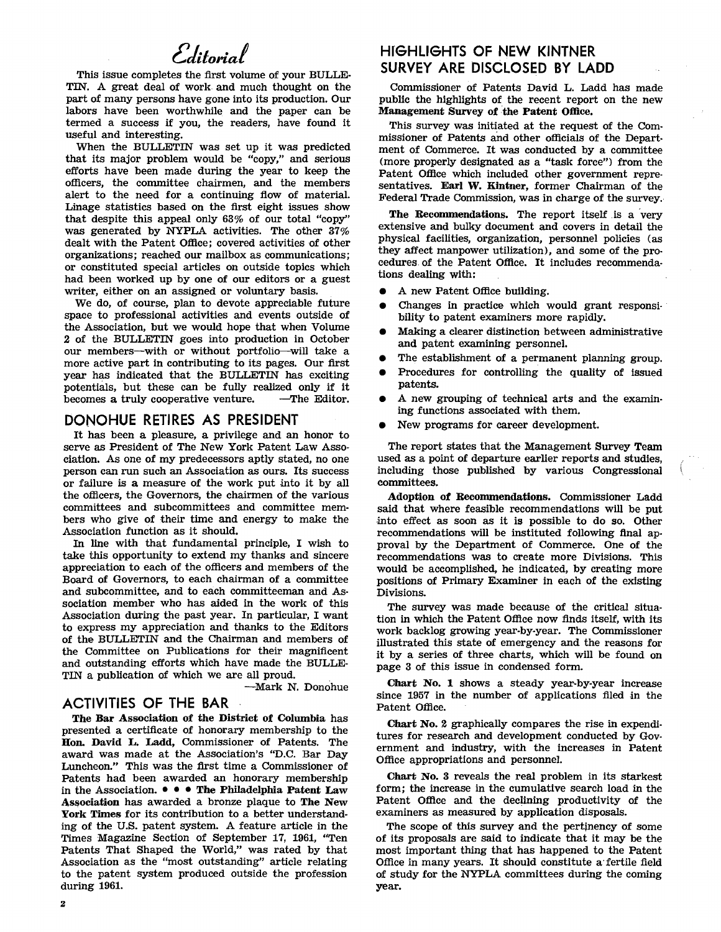# Editorial

This issue completes the first volume of your BULLE· TIN. A great deal of work and much thought on the part of many persons have gone into its production. Our labors have been worthwhile and the paper can be termed a success if you, the readers, have found it useful and interesting.

When the BULLETIN was set up it was predicted that its major problem would be "copy," and serious efforts have been made during the year to keep the officers, the committee chairmen, and the members alert to the need for a continuing fiow of material. Linage statistics based on the first eight issues show that despite this appeal only 63% of our total "copy" was generated by NYPLA activities. The other 37% dealt with the Patent Office; covered activities of other organizations; reached our mailbox as communications; or constituted special articles on outside topics which had been worked up by one of our editors or a guest writer, either on an assigned or voluntary basis.

We do, of course, plan to devote appreciable future space to professional activities and events outside of the Association, but we would hope that when Volume 2 of the BULLETIN goes into production in October our members--with or without portfolio-will take a more active part in contributing to its pages. Our first year has indicated that the BULLETIN has exciting potentials, but these can be fully realized only if it becomes a truly cooperative venture.

#### **DONOHUE RETIRES AS PRESIDENT**

It has been a pleasure, a privilege and an honor to serve as President of The New York Patent Law Asso· ciation. As one of my predecessors aptly stated, no one person can run such an Association as ours. Its success or failure is a measure of the work put into it by all the officers, the Governors, the chairmen of the various committees and subcommittees and committee members who give of their time and energy to make the Association function as it should.

In line with that fundamental principle, I wish to take this opportunity to extend my thanks and sincere appreciation to each of the officers and members of the Board of Governors, to each chairman of a committee and subcommittee, and to each committeeman and As· sociation member who has aided in the work of this Association during the past year. In particular, I want to express my appreciation and thanks to the Editors of the BULLETIN and the Chairman and members of the Committee on Publications for their magnificent and outstanding efforts which have made the BULLE· TIN a publication of which we are all proud.

-Mark N. Donohue

### **ACTIVITIES OF THE BAR**

The Bar Association of the District of Columbia has presented a certificate of honorary membership to the Hon. David L. Ladd, Commissioner of Patents. The award was made at the Association's "D.C. Bar Day Luncheon." This was the first time a Commissioner of Patents had been awarded an honorary membership in the Association.  $\bullet \bullet \bullet$  The Philadelphia Patent Law Association has awarded a bronze plaque to The New York Times for its contribution to a better understand· ing of the U.S. patent system. A feature article in the Times Magazine Section of September 17, 1961, "Ten Patents That Shaped the World," was rated by that Association as the "most outstanding" article relating to the patent system produced outside the profession during 1961.

## **HrGHLIGHTS OF NEW KINTNER SURVEY ARE DISCLOSED BY LADD**

Commissioner of Patents David L. Ladd has made public the highlights of the recent report on the new Management Survey of the Patent Office.

This survey was initiated at the request of the Com· missioner of Patents and other officials of the Department of Commerce. It was conducted by a committee (more properly designated as a "task force") from the Patent Office which included other government repre· sentatives. Earl W. Kintner, former Chairman of the Federal Trade Commission, was in charge of the survey.

The Recommendations. The report itself is a very extensive and bulky document and covers in detail the physical facilities, organization, personnel pOlicies (as they affect manpower utilization), and some of the pro· cedures of the Patent Office. It includes recommenda· tions dealing with:

- A new Patent Office building.
- Changes in practice which would grant responsibility to patent examiners more rapidly.
- Making a clearer distinction between administrative and patent examining personnel.
- The establishment of a permanent planning group.
- Procedures for controlling the quality of issued patents.
- A new grouping of technical arts and the examining functions associated with them.
- New programs for career development.

The report states that the Management Survey Team used as a point of departure earlier reports and studies, including those published by various Congressional committees.

Adoption of Recommendations. Commissioner Ladd said that where feasible recommendations will be put .into effect as soon as it is possible to do so. Other recommendations will be instituted following final ap· proval by the Department of Commerce. One of the recommendations was to create more Divisions. This would be accomplished, he indicated, by creating more positions of Primary Examiner in each of the existing Divisions.

The survey was made because of the critical situa· tion in which the Patent Office now finds itself, with its work backlog growing year·by·year. The Commissioner illustrated this state of emergency and the reasons for it by a series of three charts, which will be found on page 3 of this issue in condensed form.

Chart No.1 shows a steady year·by·year increase since 1957 in the number of applications filed in the Patent Office.

Chart No.2 graphically compares the rise in expendi· tures for research and development conducted by Gov· ernment and industry, with the increases in Patent Office appropriations and personnel.

Chart No. 3 reveals the real problem in its starkest form; the increase in the cumulative search load in the Patent Office and the declining productivity of the examiners as measured by application disposals.

The scope of this survey and the pertinency of some of its proposals are said to indicate that it may be the most important thing that has happened to the Patent Office in many years. It should constitute a' fertile field of study for the NYPLA committees during the coming year.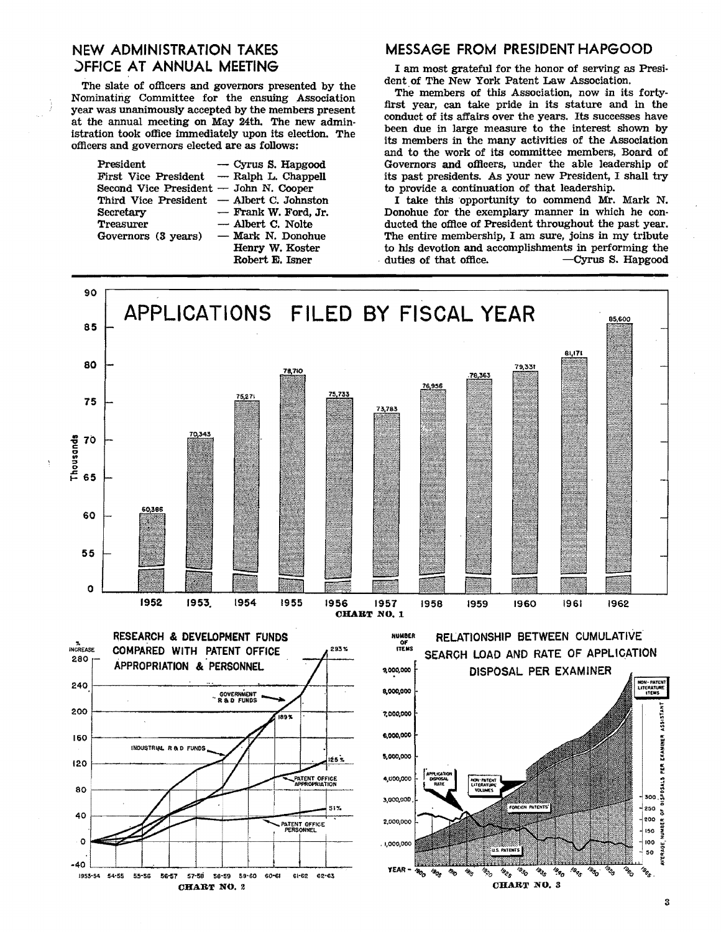# **NEW ADMINISTRATION TAKES DEFICE AT ANNUAL MEETING**

The slate of officers and governors presented by the Nominating Committee for the ensuing Association year was unanimously accepted by the members present at the annual meeting on May 24th. The new administration took office immediately upon its election. The officers and governors elected are as follows:

| President                                  | $\sim$ Cyrus S. Hapgood |
|--------------------------------------------|-------------------------|
| First Vice President — Ralph L. Chappell   |                         |
| Second Vice President — John N. Cooper     |                         |
| Third Vice President  — Albert C. Johnston |                         |
| Secretary                                  | - Frank W. Ford. Jr.    |
| Treasurer                                  | - Albert C. Nolte       |
| Governors (3 years)                        | - Mark N. Donohue       |
|                                            | Henry W. Koster         |
|                                            | Robert E. Isner         |

#### **MESSAGE FROM PRESIDENT HAPGOOD**

I am most grateful for the honor of serving as President of The New York Patent Law Association.

The members of this Association, now in its fortyfirst year, can take pride in its stature and in the conduct of its affairs over the years. Its successes have been due in large measure to the interest shown by its members in the many activities of the Association and to the work of its committee members, Board of Governors and officers, under the able leadership of its past presidents. As your new President, I shall try to provide a continuation of that leadership.

I take this opportunity to commend Mr. Mark N. Donohue for the exemplary manner in which he conducted the office of President throughout the past year. The entire membership, I am sure, joins in my tribute to his devotion and accomplishments in performing the -Cyrus S. Hapgood duties of that office.

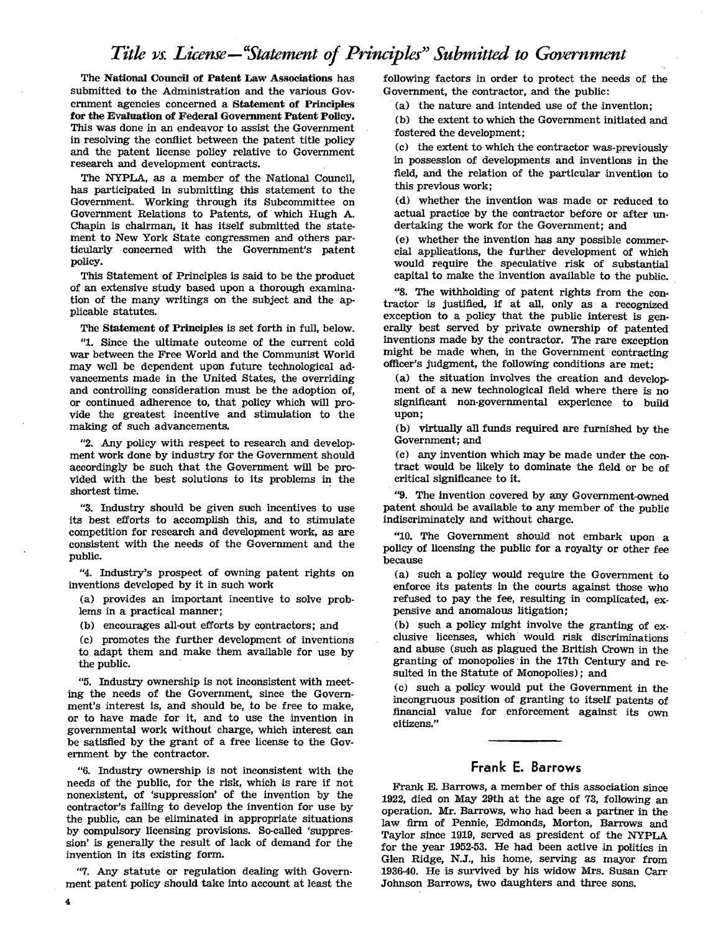# Title vs. License - "Statement of Principles" Submitted to Government

The National Council of Patent Law Associations has submitted to the Administration and the various Government agencies concerned a Statement of Principles for the Evaluation of Federal Government Patent Policy. This was done in an endeavor to assist the Government in resolving the confiict between the patent title policy and the patent license policy relative to Government research and development contracts.

The NYPLA, as a member of the National Council, has participated in submitting this statement to the Government. Working through its Subcommittee on Government Relations to Patents, of which Hugh A. Chapin is chairman, it has itself submitted the statement to New York State congressmen and others particularly concerned with the Government's patent policy.

This Statement of Principles is said to be the product of an extensive study based upon a thorough examination of the many writings on the subject and the applicable statutes.

The Statement of Principles is set forth in full, below.

"1. Since the ultimate outcome of the current cold war between the Free World and the Communist World may well be dependent upon future technological advancements made in the United States, the overriding and controlling consideration must be the adoption of, or continued adherence to, that policy which will provide the greatest incentive and stimulation to the making of such advancements.

"2. Any policy with respect to research and development work done by industry for the Government should accordingly be such that the Government will be provided with the best solutions to its problems in the shortest time.

"3. Industry should be given such incentives to use its best efforts to accomplish this, and to stimulate competition for research and development work, as are consistent with the needs of the Government and the public.

"4. Industry's prospect of owning patent rights on inventions developed by it in such work

(a) provides an important incentive to solve problems in a practical manner;

(b) encourages all-out efforts by contractors; and

(c) promotes the further development of inventions to adapt them and make them available for use by the public.

"5. Industry ownership is not inconsistent with meeting the needs of the Government, since the Government's interest is, and should be, to be free to make, or to have made for it, and to use the invention in governmental work without charge, which interest can be satisfied by the grant of a free license to the Government by the contractor.

"6. Industry ownership is not inconsistent with the needs of the public, for the risk, which is rare if not nonexistent, of 'suppression' of the invention by the contractor's failing to develop the invention for use by the public, can be eliminated in appropriate situations by compulsory licensing provisions. So-called 'suppression' is generally the result of lack of demand for the invention in its existing form.

"7. Any statute or regulation dealing with Government patent policy should take into account at least the following factors in order to protect the needs of the Government, the contractor, and the public:

(a) the nature and intended use of the Invention;

(b) the extent to which the Government initiated and fostered the development;

(c) the extent to which the contractor was-previously in possession of developments and inventions in the field, and the relation of the particular invention to this previous work;

(d) whether the invention was made or reduced to actual practice by the contractor before or after un· dertaking the work for the Government; and

(e) whether the invention has any possible commer. cial applications, the further development of which would require the speculative risk of substantial capital to make the invention available to the public.

"8. The withholding of patent rights from the con· tractor is justified, if at all, only as a recognized exception to a policy that the public interest is gen· erally best served by private ownership of patented inventions made by the contractor. The rare exception might be made when, in the Government contracting officer's judgment, the following conditions are met:

(a) the situation involves the creation and development of a new technological field where there is no significant non·governmental experience to build upon;

(b) virtually all funds required are furnished by the Government; and

(c) any invention which may be made under the contract would be likely to dominate the field or be of critical Significance to it.

"9. The invention covered by any Government-owned patent should be available to any member of the public indiscriminately and without charge.

"10. The Government should not embark upon a policy of licensing the public for a royalty or other fee because

(a) such a policy would require the Government to enforce its patents in the courts against those who refused to pay the fee, resulting in complicated, expensive and anomalous litigation;

(b) such a policy might involve the granting of exclusive licenses, which would risk discriminations and abuse (such as plagued the British Crown in the granting of monopolies' in the 17th Century and resulted in the Statute of Monopolies); and

(c) such a policy would put the Government in the incongruous position of granting to itself patents of financial value for enforcement against its own citizens."

### Frank E. Barrows

Frank E. Barrows, a member of this association since 1922, died on May 29th at the age of 73, following an operation. Mr. Barrows, who had been a partner in the law firm of Pennie, Edmonds, Morton, Barrows and Taylor since 1919, served as president of the NYPLA for the year 1952-53. He had been active in politics in Glen Ridge, N.J., his home, serving as mayor from 1936-40. He is survived by his widow Mrs. Susan Carr Johnson Barrows, two daughters and three sons.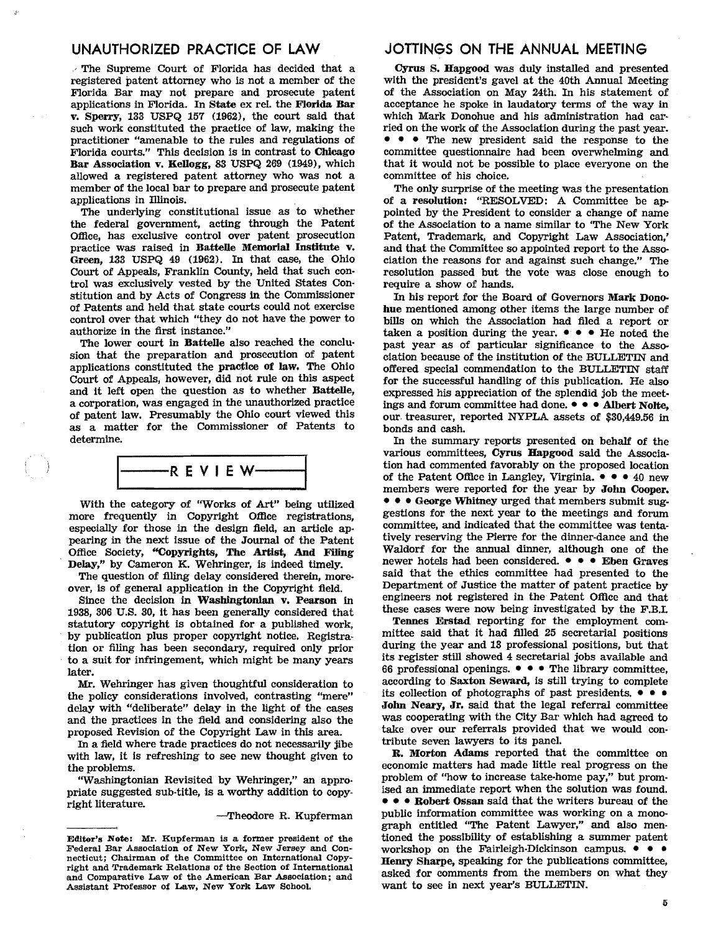#### UNAUTHORIZED PRACTICE OF LAW

 $\sim$  The Supreme Court of Florida has decided that a registered patent attorney who is not a member of the Florida Bar may not prepare and prosecute patent applications in Florida. In State ex reI. the Florida Bar v. Sperry, 133 USPQ 157 (1962), the court said that such work constituted the practice of law, making the practitioner "amenable to the rules and regulations of Florida courts." This decision is in contrast to Chicago Bar Association v. Kellogg, 83 USPQ 269 (1949), which allowed a registered patent attorney who was not a member of the local bar to prepare and prosecute patent applications in Illinois.

The underlying constitutional issue as to whether the federal government, acting through the Patent Office, has exclusive control over patent prosecution practice was raised in Battelle Memorial Institute v. Green, 133 USPQ 49 (1962). In that case, the Ohio Court of Appeals, Franklin County, held that such control was exclusively vested by the United States Constitution and by Acts of Congress in the Commissioner of Patents and held that state courts could not exercise control over that which "they do not have the power to authorize in the first instance."

The lower court in Battelle also reached the conclusion that the preparation and prosecution of patent applications constituted the practice of law. The Ohio Court of Appeals, however, did not rule on this aspect and it left open the question as to whether Battelle, a corporation, was engaged in the unauthorized practice of patent law. Presumably the Ohio court viewed this as a matter for the Commissioner of Patents to determine.



With the category of "Works of Art" being utilized more frequently in Copyright Office registrations, especially for those in the design field, an article appearing in the next issue of the Journal of the Patent Office Society, "Copyrights, The Artist, And Filing Delay," by Cameron K. Wehringer, is indeed timely.

The question of filing delay considered therein, moreover, is of general application in the Copyright field.

Since the decision in Washingtonlan v. Pearson in 1938, 306 U.S. 30, it has been generally considered that statutory copyright is obtained for a published work, by publication plus proper copyright notice. Registration or filing has been secondary, required only prior to a suit for infringement, which might be many years later.

Mr. Wehringer has given thoughtful consideration to the policy considerations involved, contrasting "mere" delay with "deliberate" delay in the light of the cases and the practices in the field and considering also the proposed Revision of the Copyright Law in this area.

In a field where trade practices do not necessarily jibe with law, it is refreshing to see new thought given to the problems.

"Washingtonian Revisited by Wehringer," an appro· priate suggested sub·title, is a worthy addition to copyright literature.

-Theodore R. Kupferman

#### JOTTINGS ON THE ANNUAL MEETING

Cyrus S. Hapgood was duly installed and presented with the president's gavel at the 40th Annual Meeting of the Association on May 24th. In his statement of acceptance he spoke in laudatory terms of the way in which Mark Donohue and his administration had carried on the work of the Association during the past year. • • The new president said the response to the committee questionnaire had been overwhehning and that it would not be possible to place everyone on the committee of his choice.

The only surprise of the meeting was the presentation of a resolution: "RESOLVED: A Committee be ap· pointed by the President to consider a change of name of the Association to a name similar to 'The New York Patent, Trademark, and Copyright Law Association,' and that the Committee so appointed report to the Association the reasons for and against such change." The resolution passed but the vote was close enough to require a show of hands.

In his report for the Board of Governors Mark Donohue mentioned among other items the large number of bills on which the Association had filed a report or taken a position during the year.  $\bullet \bullet \bullet$  He noted the past year as of particular significance to the Association because of the institution of the BULLETIN and offered special commendation to the BULLETIN staff for the successful handling of this publication. He also expressed his appreciation of the splendid job the meetings and forum committee had done.  $\bullet \bullet \bullet$  Albert Nolte, our. treasurer, reported NYPLA assets of \$30,449.56 in bonds and cash.

In the summary reports presented on behalf of the various committees, Cyrus Hapgood said the Association had commented favorably on the proposed location of the Patent Office in Langley, Virginia.  $\bullet \bullet \bullet 40$  new members were reported for the year by John Cooper. • • • George Whitney urged that members submit suggestions for the next year to the meetings and forum committee, and indicated that the committee was tentatively reserving the Pierre for the dinner-dance and the Waldorf for the annual dinner, although one of the newer hotels had been considered.  $\bullet \bullet \bullet$  Eben Graves said that the ethics committee had presented to the Department of Justice the matter of patent practice by engineers not registered in the Patent Office and that these cases were now being investigated by the F.B.L

Tennes Erstad reporting for the employment committee said that it had filled 25 secretarial positions during the year and 13 professional positions, but that its register still showed 4 secretarial jobs available and 66 professional openings.  $\bullet \bullet \bullet$  The library committee, according to Saxton Seward, is still trying to complete its collection of photographs of past presidents.  $\bullet \bullet \bullet$ John Neary, Jr. said that the legal referral committee was cooperating with the City Bar which had agreed to take over our referrals provided that we would con· tribute seven lawyers to its panel.

R. Morton Adams reported that the committee on economic matters had made little real progress on the problem of "how to increase take-home pay," but promised an immediate report when the solution was found. • • Robert Ossan said that the writers bureau of the public information committee was working on a monograph entitled "The Patent Lawyer," and also mentioned the possibility of establishing a summer patent workshop on the Fairleigh-Dickinson campus.  $\bullet \bullet \bullet$ Henry Sharpe, speaking for the publications committee, asked for comments from the members on what they want to see in next year's BULLETIN.

Editor's Note: Mr. Kupferman is a former president of the Federal Bar Association of New York, New Jersey and Connecticut; Chairman of the Committee on International Copyright and Trademark Relations of the Section of International and Comparative Law of the American Bar Association; and Assistant Professor of Law, New York Law School.